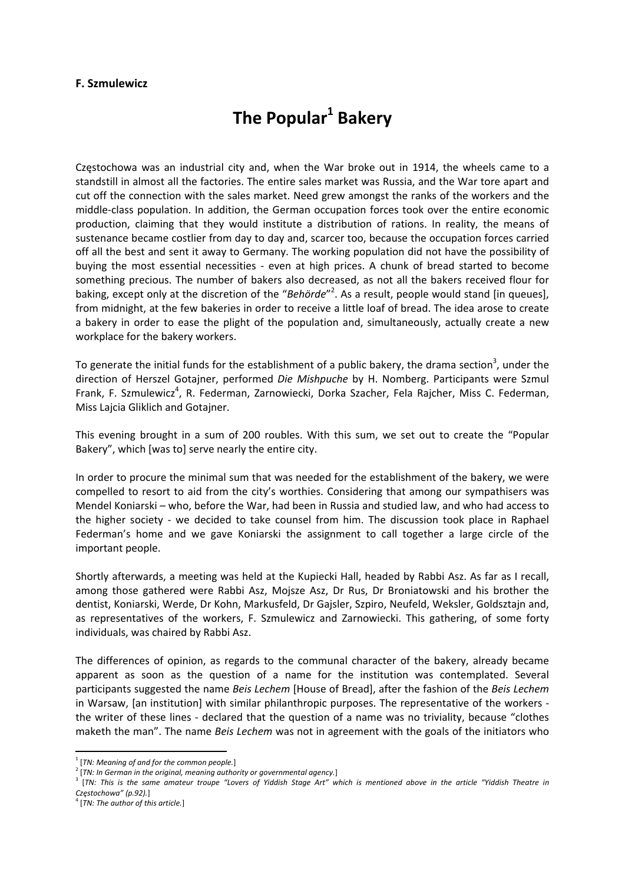## **F. Szmulewicz**

## **The Popular<sup>1</sup> Bakery**

Częstochowa was an industrial city and, when the War broke out in 1914, the wheels came to a standstill in almost all the factories. The entire sales market was Russia, and the War tore apart and cut off the connection with the sales market. Need grew amongst the ranks of the workers and the middle‐class population. In addition, the German occupation forces took over the entire economic production, claiming that they would institute a distribution of rations. In reality, the means of sustenance became costlier from day to day and, scarcer too, because the occupation forces carried off all the best and sent it away to Germany. The working population did not have the possibility of buying the most essential necessities - even at high prices. A chunk of bread started to become something precious. The number of bakers also decreased, as not all the bakers received flour for baking, except only at the discretion of the "*Behörde*" 2 . As a result, people would stand [in queues], from midnight, at the few bakeries in order to receive a little loaf of bread. The idea arose to create a bakery in order to ease the plight of the population and, simultaneously, actually create a new workplace for the bakery workers.

To generate the initial funds for the establishment of a public bakery, the drama section<sup>3</sup>, under the direction of Herszel Gotajner, performed *Die Mishpuche* by H. Nomberg. Participants were Szmul Frank, F. Szmulewicz<sup>4</sup>, R. Federman, Zarnowiecki, Dorka Szacher, Fela Rajcher, Miss C. Federman, Miss Lajcia Gliklich and Gotajner.

This evening brought in a sum of 200 roubles. With this sum, we set out to create the "Popular Bakery", which [was to] serve nearly the entire city.

In order to procure the minimal sum that was needed for the establishment of the bakery, we were compelled to resort to aid from the city's worthies. Considering that among our sympathisers was Mendel Koniarski – who, before the War, had been in Russia and studied law, and who had access to the higher society - we decided to take counsel from him. The discussion took place in Raphael Federman's home and we gave Koniarski the assignment to call together a large circle of the important people.

Shortly afterwards, a meeting was held at the Kupiecki Hall, headed by Rabbi Asz. As far as I recall, among those gathered were Rabbi Asz, Mojsze Asz, Dr Rus, Dr Broniatowski and his brother the dentist, Koniarski, Werde, Dr Kohn, Markusfeld, Dr Gajsler, Szpiro, Neufeld, Weksler, Goldsztajn and, as representatives of the workers, F. Szmulewicz and Zarnowiecki. This gathering, of some forty individuals, was chaired by Rabbi Asz.

The differences of opinion, as regards to the communal character of the bakery, already became apparent as soon as the question of a name for the institution was contemplated. Several participants suggested the name *Beis Lechem* [House of Bread], after the fashion of the *Beis Lechem* in Warsaw, [an institution] with similar philanthropic purposes. The representative of the workers ‐ the writer of these lines - declared that the question of a name was no triviality, because "clothes maketh the man". The name *Beis Lechem* was not in agreement with the goals of the initiators who

 <sup>1</sup> [*TN: Meaning of and for the common people.*]

<sup>[</sup>TN: In German in the original, meaning authority or governmental agency.]<br>TTN: This is the same amateur troupe "Lovers of Yiddish Stage Art" which is mentioned above in the article "Yiddish Theatre in [ *Częstochowa" (p.92).*]

<sup>4</sup> [*TN: The author of this article.*]